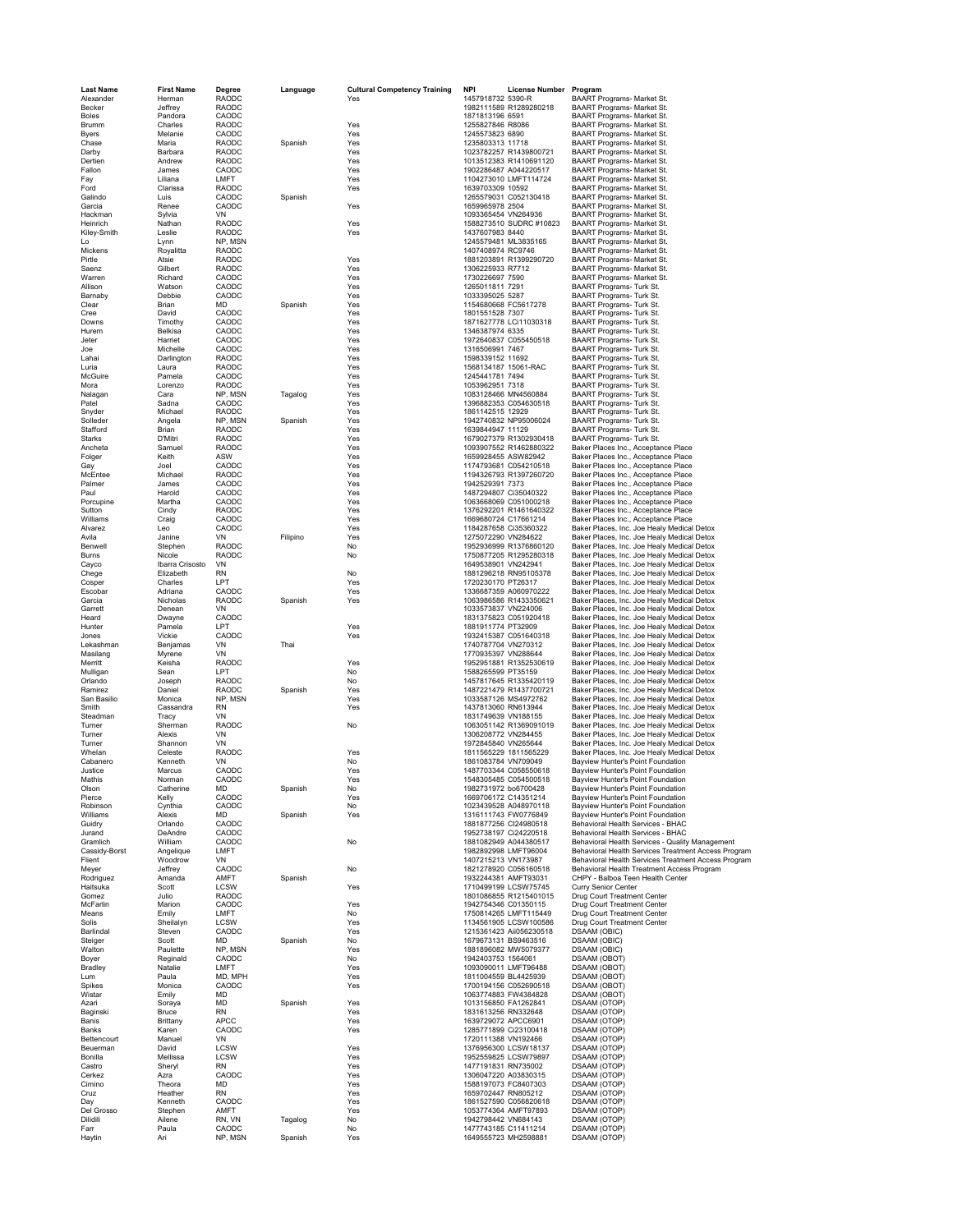| <b>Last Name</b>          | <b>First Name</b>    | Degree                  | Language | <b>Cultural Competency Training</b> | <b>NPI</b>                                       | License Number Program                                                                                 |
|---------------------------|----------------------|-------------------------|----------|-------------------------------------|--------------------------------------------------|--------------------------------------------------------------------------------------------------------|
| Alexander                 | Herman               | RAODC                   |          | Yes                                 | 1457918732 5390-R                                | BAART Programs- Market St.<br>BAART Programs- Market St.                                               |
| Becker<br><b>Boles</b>    | Jeffrey<br>Pandora   | RAODC<br>CAODC          |          |                                     | 1982111589 R1289280218<br>1871813196 6591        | BAART Programs- Market St.                                                                             |
| Brumm                     | Charles              | RAODC                   |          | Yes                                 | 1255827846 R8086                                 | BAART Programs- Market St.                                                                             |
| <b>Byers</b>              | Melanie              | CAODC                   |          | Yes                                 | 1245573823 6890                                  | BAART Programs- Market St.                                                                             |
| Chase<br>Darby            | Maria<br>Barbara     | RAODC<br>RAODC          | Spanish  | Yes<br>Yes                          | 1235803313 11718<br>1023782257 R1439800721       | BAART Programs- Market St.<br>BAART Programs- Market St.                                               |
| Dertien                   | Andrew               | RAODC                   |          | Yes                                 | 1013512383 R1410691120                           | BAART Programs- Market St.                                                                             |
| Fallon                    | James                | CAODC                   |          | Yes                                 | 1902286487 A044220517                            | BAART Programs- Market St.                                                                             |
| Fay                       | Liliana              | LMFT<br>RAODC           |          | Yes                                 | 1104273010 LMFT114724                            | BAART Programs- Market St.                                                                             |
| Ford<br>Galindo           | Clarissa<br>Luis     | CAODC                   | Spanish  | Yes                                 | 1639703309 10592<br>1265579031 C052130418        | <b>BAART Programs- Market St.</b><br>BAART Programs- Market St.                                        |
| Garcia                    | Renee                | CAODC                   |          | Yes                                 | 1659965978 2504                                  | BAART Programs- Market St.                                                                             |
| Hackman                   | Sylvia               | VN                      |          |                                     | 1093365454 VN264936                              | BAART Programs- Market St.                                                                             |
| Heinrich                  | Nathan               | RAODC                   |          | Yes                                 | 1588273510 SUDRC #10823                          | BAART Programs- Market St.                                                                             |
| Kiley-Smith<br>Lo         | Leslie<br>Lynn       | <b>RAODC</b><br>NP, MSN |          | Yes                                 | 1437607983 8440<br>1245579481 ML3835165          | BAART Programs- Market St.<br>BAART Programs- Market St.                                               |
| Mickens                   | Royalitta            | <b>RAODC</b>            |          |                                     | 1407408974 RC9746                                | BAART Programs- Market St.                                                                             |
| Pirtle                    | Atsie                | <b>RAODC</b>            |          | Yes                                 | 1881203891 R1399290720                           | BAART Programs- Market St.                                                                             |
| Saenz                     | Gilbert              | RAODC                   |          | Yes                                 | 1306225933 R7712<br>1730226697 7590              | BAART Programs- Market St.<br>BAART Programs- Market St.                                               |
| Warren<br>Allison         | Richard<br>Watson    | CAODC<br>CAODC          |          | Yes<br>Yes                          | 1265011811 7291                                  | BAART Programs- Turk St.                                                                               |
| Barnaby                   | Debbie               | CAODC                   |          | Yes                                 | 1033395025 5287                                  | BAART Programs- Turk St.                                                                               |
| Clear                     | Brian                | MD                      | Spanish  | Yes                                 | 1154680668 FC5617278                             | <b>BAART Programs- Turk St.</b>                                                                        |
| Cree<br>Downs             | David<br>Timothy     | CAODC<br>CAODC          |          | Yes<br>Yes                          | 1801551528 7307<br>1871627778 LCi11030318        | BAART Programs- Turk St.<br><b>BAART Programs- Turk St</b>                                             |
| Hurem                     | Belkisa              | CAODC                   |          | Yes                                 | 1346387974 6335                                  | BAART Programs- Turk St.                                                                               |
| Jeter                     | Harriet              | CAODC                   |          | Yes                                 | 1972640837 C055450518                            | BAART Programs- Turk St.                                                                               |
| Joe                       | Michelle             | CAODC                   |          | Yes                                 | 1316506991 7467                                  | BAART Programs- Turk St.                                                                               |
| Lahai<br>Luria            | Darlington<br>Laura  | RAODC<br>RAODC          |          | Yes<br>Yes                          | 1598339152 11692<br>1568134187 15061-RAC         | BAART Programs- Turk St.<br>BAART Programs- Turk St.                                                   |
| McGuire                   | Pamela               | CAODC                   |          | Yes                                 | 1245441781 7494                                  | BAART Programs- Turk St.                                                                               |
| Mora                      | Lorenzo              | RAODC                   |          | Yes                                 | 1053962951 7318                                  | <b>BAART Programs- Turk St</b>                                                                         |
| Nalagan                   | Cara                 | NP, MSN                 | Tagalog  | Yes                                 | 1083128466 MN4560884                             | BAART Programs- Turk St.                                                                               |
| Patel<br>Snyder           | Sadna<br>Michael     | CAODC<br>RAODC          |          | Yes<br>Yes                          | 1396882353 C054630518<br>1861142515 12929        | BAART Programs- Turk St.<br>BAART Programs- Turk St.                                                   |
| Solleder                  | Angela               | NP, MSN                 | Spanish  | Yes                                 | 1942740832 NP95006024                            | BAART Programs- Turk St.                                                                               |
| Stafford                  | Brian                | RAODC                   |          | Yes                                 | 1639844947 11129                                 | BAART Programs- Turk St.                                                                               |
| Starks                    | D'Mitri              | RAODC                   |          | Yes                                 | 1679027379 R1302930418                           | <b>BAART Programs- Turk St.</b>                                                                        |
| Ancheta                   | Samuel               | RAODC                   |          | Yes<br>Yes                          | 1093907552 R1462880322                           | Baker Places Inc., Acceptance Place                                                                    |
| Folger<br>Gay             | Keith<br>Joel        | ASW<br>CAODC            |          | Yes                                 | 1659928455 ASW82942<br>1174793681 C054210518     | Baker Places Inc., Acceptance Place<br>Baker Places Inc., Acceptance Place                             |
| McEntee                   | Michael              | RAODC                   |          | Yes                                 | 1194326793 R1397260720                           | Baker Places Inc., Acceptance Place                                                                    |
| Palmer                    | James                | CAODC                   |          | Yes                                 | 1942529391 7373                                  | Baker Places Inc., Acceptance Place                                                                    |
| Paul                      | Harold               | CAODC                   |          | Yes                                 | 1487294807 Ci35040322                            | Baker Places Inc., Acceptance Place                                                                    |
| Porcupine<br>Sutton       | Martha<br>Cindy      | CAODC<br>RAODC          |          | Yes<br>Yes                          | 1063668069 C051000218<br>1376292201 R1461640322  | Baker Places Inc., Acceptance Place<br>Baker Places Inc., Acceptance Place                             |
| Williams                  | Craig                | CAODC                   |          | Yes                                 | 1669680724 C17661214                             | Baker Places Inc., Acceptance Place                                                                    |
| Alvarez                   | Leo                  | CAODC                   |          | Yes                                 | 1184287658 Ci35360322                            | Baker Places, Inc. Joe Healy Medical Detox                                                             |
| Avila                     | Janine               | VN                      | Filipino | Yes                                 | 1275072290 VN284622                              | Baker Places, Inc. Joe Healy Medical Detox                                                             |
| Benwell<br>Burns          | Stephen<br>Nicole    | RAODC<br>RAODC          |          | No<br>No                            | 1952936999 R1376860120<br>1750877205 R1295280318 | Baker Places, Inc. Joe Healy Medical Detox<br>Baker Places, Inc. Joe Healy Medical Detox               |
| Cayco                     | Ibarra Crisosto      | VN                      |          |                                     | 1649538901 VN242941                              | Baker Places, Inc. Joe Healy Medical Detox                                                             |
| Chege                     | Elizabeth            | RN                      |          | No                                  | 1881296218 RN95105378                            | Baker Places, Inc. Joe Healy Medical Detox                                                             |
| Cosper<br>Escobar         | Charles              | LPT<br>CAODC            |          | Yes<br>Yes                          | 1720230170 PT26317                               | Baker Places, Inc. Joe Healy Medical Detox                                                             |
| Garcia                    | Adriana<br>Nicholas  | RAODC                   | Spanish  | Yes                                 | 1336687359 A060970222<br>1063986586 R1433350621  | Baker Places, Inc. Joe Healy Medical Detox<br>Baker Places, Inc. Joe Healy Medical Detox               |
| Garrett                   | Denean               | VN                      |          |                                     | 1033573837 VN224006                              | Baker Places, Inc. Joe Healy Medical Detox                                                             |
| Heard                     | Dwayne               | CAODC                   |          |                                     | 1831375823 C051920418                            | Baker Places, Inc. Joe Healy Medical Detox                                                             |
| Hunter<br>Jones           | Pamela<br>Vickie     | <b>LPT</b><br>CAODC     |          | Yes<br>Yes                          | 1881911774 PT32909<br>1932415387 C051640318      | Baker Places, Inc. Joe Healy Medical Detox<br>Baker Places, Inc. Joe Healy Medical Detox               |
| Lekashman                 | Benjamas             | VN                      | Thai     |                                     | 1740787704 VN270312                              | Baker Places, Inc. Joe Healy Medical Detox                                                             |
| Masilang                  | Myrene               | VN                      |          |                                     | 1770935397 VN288644                              | Baker Places, Inc. Joe Healy Medical Detox                                                             |
| Merritt                   | Keisha               | RAODC                   |          | Yes                                 | 1952951881 R1352530619                           | Baker Places, Inc. Joe Healy Medical Detox                                                             |
| Mulligan<br>Orlando       | Sean<br>Joseph       | LPT<br><b>RAODC</b>     |          | No<br>No                            | 1588265599 PT35159<br>1457817645 R1335420119     | Baker Places, Inc. Joe Healy Medical Detox<br>Baker Places, Inc. Joe Healy Medical Detox               |
| Ramirez                   | Daniel               | <b>RAODC</b>            | Spanish  | Yes                                 | 1487221479 R1437700721                           | Baker Places, Inc. Joe Healy Medical Detox                                                             |
| San Basilio               | Monica               | NP, MSN                 |          | Yes                                 | 1033587126 MS4972762                             | Baker Places, Inc. Joe Healy Medical Detox                                                             |
| Smith                     | Cassandra            | RN                      |          | Yes                                 | 1437813060 RN613944                              | Baker Places, Inc. Joe Healy Medical Detox                                                             |
| Steadman<br>Turner        | Tracy<br>Sherman     | VN<br>RAODC             |          | No                                  | 1831749639 VN188155<br>1063051142 R1369091019    | Baker Places, Inc. Joe Healy Medical Detox<br>Baker Places, Inc. Joe Healy Medical Detox               |
| Turner                    | Alexis               | VN                      |          |                                     | 1306208772 VN284455                              | Baker Places, Inc. Joe Healy Medical Detox                                                             |
| Turner                    | Shannon              | VN                      |          |                                     | 1972845840 VN265644                              | Baker Places, Inc. Joe Healy Medical Detox                                                             |
| Whelan<br>Cabanero        | Celeste              | RAODC                   |          | Yes                                 | 1811565229 1811565229                            | Baker Places, Inc. Joe Healy Medical Detox                                                             |
| Justice                   | Kenneth<br>Marcus    | VN<br>CAODC             |          | No<br>Yes                           | 1861083784 VN709049<br>1487703344 C058550618     | Bayview Hunter's Point Foundation<br>Bayview Hunter's Point Foundation                                 |
| Mathis                    | Norman               | CAODC                   |          | Yes                                 | 1548305485 C054500518                            | Bayview Hunter's Point Foundation                                                                      |
| Olson                     | Catherine            | MD                      | Spanish  | No                                  | 1982731972 bo6700428                             | Bayview Hunter's Point Foundation                                                                      |
| Pierce                    | Kelly                | CAODC                   |          | Yes                                 | 1669706172 C14351214                             | Bayview Hunter's Point Foundation                                                                      |
| Robinson<br>Williams      | Cynthia<br>Alexis    | CAODC<br>MD             | Spanish  | No<br>Yes                           | 1023439528 A048970118<br>1316111743 FW0776849    | Bayview Hunter's Point Foundation<br>Bayview Hunter's Point Foundation                                 |
| Guidry                    | Orlando              | CAODC                   |          |                                     | 1881877256 Cl24980518                            | Behavioral Health Services - BHAC                                                                      |
| Jurand                    | DeAndre              | CAODC                   |          |                                     | 1952738197 Ci24220518                            | Behavioral Health Services - BHAC                                                                      |
| Gramlich<br>Cassidy-Borst | William<br>Angelique | CAODC<br>LMFT           |          | No                                  | 1881082949 A044380517<br>1982892998 LMFT96004    | Behavioral Health Services - Quality Management<br>Behavioral Health Services Treatment Access Program |
| Flient                    | Woodrow              | VN                      |          |                                     | 1407215213 VN173987                              | Behavioral Health Services Treatment Access Program                                                    |
| Meyer                     | Jeffrey              | CAODC                   |          | No                                  | 1821278920 C056160518                            | Behavioral Health Treatment Access Program                                                             |
| Rodriguez                 | Amanda               | AMFT                    | Spanish  |                                     | 1932244381 AMFT93031                             | CHPY - Balboa Teen Health Center                                                                       |
| Haitsuka<br>Gomez         | Scott<br>Julio       | LCSW<br><b>RAODC</b>    |          | Yes                                 | 1710499199 LCSW75745<br>1801086855 R1215401015   | <b>Curry Senior Center</b><br>Drug Court Treatment Center                                              |
| McFarlin                  | Marion               | CAODC                   |          | Yes                                 | 1942754346 C01350115                             | Drug Court Treatment Center                                                                            |
| Means                     | Emily                | LMFT                    |          | No                                  | 1750814265 LMFT115449                            | Drug Court Treatment Center                                                                            |
| Solis                     | Sheilalyn            | <b>LCSW</b>             |          | Yes                                 | 1134561905 LCSW100586                            | Drug Court Treatment Center                                                                            |
| Barlindal<br>Steiger      | Steven<br>Scott      | CAODC<br><b>MD</b>      | Spanish  | Yes<br>No                           | 1215361423 Aii056230518<br>1679673131 BS9463516  | <b>DSAAM</b> (OBIC)<br><b>DSAAM</b> (OBIC)                                                             |
| Walton                    | Paulette             | NP, MSN                 |          | Yes                                 | 1881896082 MW5079377                             | <b>DSAAM (OBIC)</b>                                                                                    |
| Boyer                     | Reginald             | CAODC                   |          | No                                  | 1942403753 1564061                               | DSAAM (OBOT)                                                                                           |
| Bradley                   | Natalie              | LMFT                    |          | Yes                                 | 1093090011 LMFT96488<br>1811004559 BL4425939     | DSAAM (OBOT)                                                                                           |
| Lum<br>Spikes             | Paula<br>Monica      | MD, MPH<br>CAODC        |          | Yes<br>Yes                          | 1700194156 C052690518                            | DSAAM (OBOT)<br>DSAAM (OBOT)                                                                           |
| Wistar                    | Emily                | <b>MD</b>               |          |                                     | 1063774883 FW4384828                             | DSAAM (OBOT)                                                                                           |
| Azari                     | Soraya               | <b>MD</b>               | Spanish  | Yes                                 | 1013156850 FA1262841                             | DSAAM (OTOP)                                                                                           |
| Baginski<br>Banis         | Bruce                | RN<br>APCC              |          | Yes<br>Yes                          | 1831613256 RN332648                              | DSAAM (OTOP)<br>DSAAM (OTOP)                                                                           |
| Banks                     | Brittany<br>Karen    | CAODC                   |          | Yes                                 | 1639729072 APCC6901<br>1285771899 Ci23100418     | DSAAM (OTOP)                                                                                           |
| Bettencourt               | Manuel               | VN                      |          |                                     | 1720111388 VN192466                              | DSAAM (OTOP)                                                                                           |
| Beuerman                  | David                | <b>LCSW</b>             |          | Yes                                 | 1376956300 LCSW18137                             | DSAAM (OTOP)                                                                                           |
| Bonilla                   | Mellissa             | LCSW<br><b>RN</b>       |          | Yes<br>Yes                          | 1952559825 LCSW79897                             | DSAAM (OTOP)<br>DSAAM (OTOP)                                                                           |
| Castro<br>Cerkez          | Sheryl<br>Azra       | CAODC                   |          | Yes                                 | 1477191831 RN735002<br>1306047220 A03830315      | DSAAM (OTOP)                                                                                           |
| Cimino                    | Theora               | MD                      |          | Yes                                 | 1588197073 FC8407303                             | DSAAM (OTOP)                                                                                           |
| Cruz                      | Heather              | <b>RN</b>               |          | Yes                                 | 1659702447 RN805212                              | DSAAM (OTOP)                                                                                           |
| Day                       | Kenneth              | CAODC                   |          | Yes                                 | 1861527590 C056820618                            | DSAAM (OTOP)                                                                                           |
| Del Grosso<br>Dilidili    | Stephen<br>Ailene    | AMFT<br>RN, VN          | Tagalog  | Yes<br>No                           | 1053774364 AMFT97893<br>1942798442 VN684143      | DSAAM (OTOP)<br>DSAAM (OTOP)                                                                           |
| Farr                      | Paula                | CAODC                   |          | No                                  | 1477743185 C11411214                             | DSAAM (OTOP)                                                                                           |
| Haytin                    | Ari                  | NP, MSN                 | Spanish  | Yes                                 | 1649555723 MH2598881                             | DSAAM (OTOP)                                                                                           |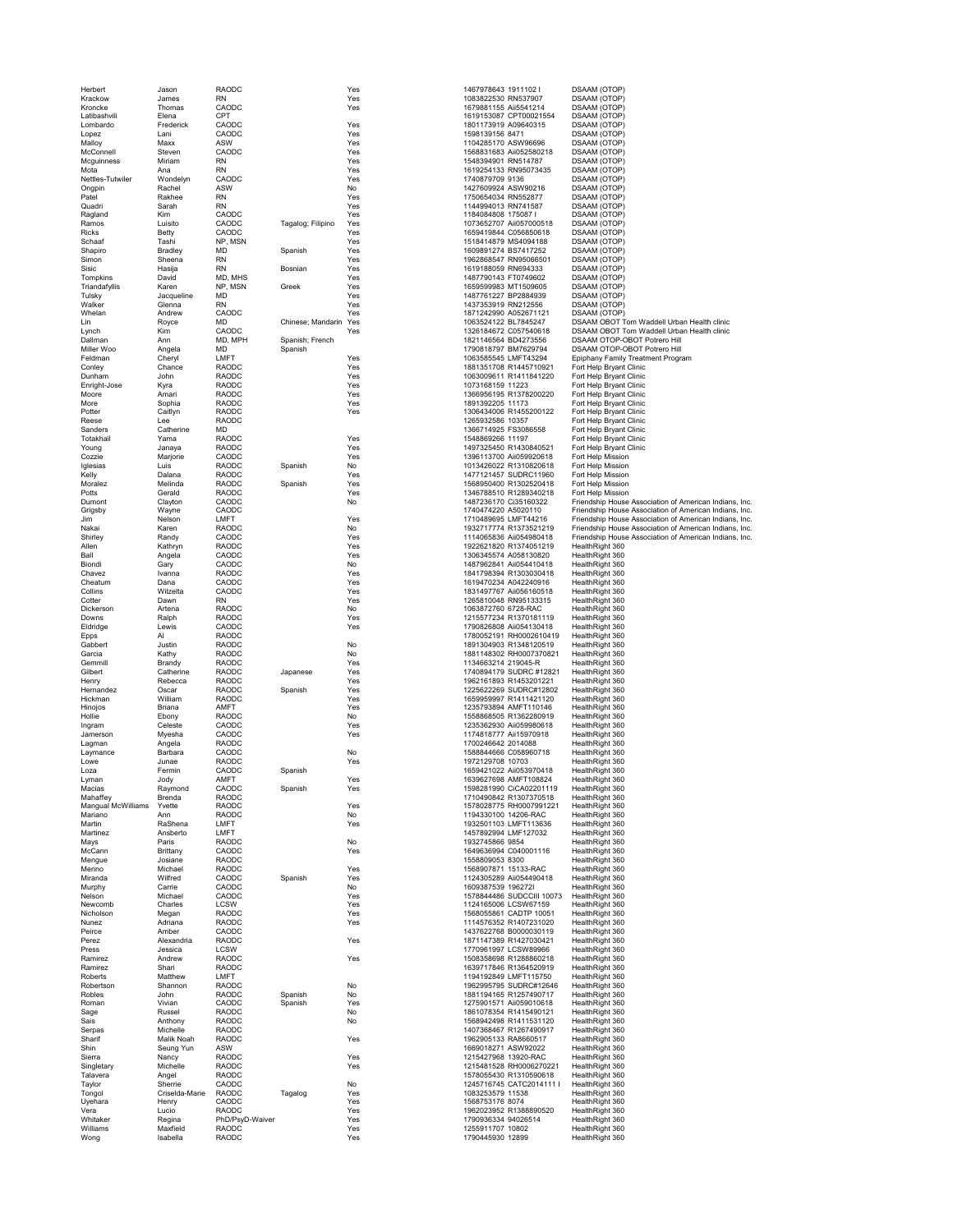| Krackow<br>Kroncke   | Jame:<br>Thom                      |
|----------------------|------------------------------------|
| Latibashvili         | Elena                              |
| Lombardo             | Frede                              |
| Lopez                | .ani                               |
| Malloy               | Maxx                               |
| McConnell            | Steve                              |
| Mcguinness<br>Mota   | Mirian<br>Ana                      |
| Nettles-Tutwiler     | Wond                               |
| Ongpin               | Rache                              |
| Patel                | Rakhe                              |
| Quadri               | Sarah                              |
| Ragland              | Kim                                |
| Ramos                | Luisito                            |
| Ricks                | Betty                              |
| Schaaf               | Tashi                              |
| Shapiro<br>Simon     | <b>Bradle</b><br>Sheer             |
| Sisic                | łasija<br>ł                        |
| Tompkins             | David                              |
| Triandafyllis        | Karen                              |
| Tulsky               | Jacqu                              |
| Walker               | Glenn                              |
| Whelan<br>Lin        | Andre                              |
| Lynch                | Royce<br>Kim                       |
| Dallman              | Ann                                |
| Miller Woo           | Angel                              |
| Feldman              | Chery                              |
| Conley               | hand                               |
| Dunham               | John                               |
| Inright-Jose<br>F    | Kyra                               |
| Moore<br>More        | Amari<br>Sophi                     |
| Potter               | Caitly                             |
| Reese                | Lee                                |
| Sanders              | Cathe                              |
| Totakhail            | Yama                               |
| Young                | Janay                              |
| Cozzie<br>Iglesias   | Marjo<br>Luis                      |
| Kelly                | Dalan                              |
| Moralez              | Melino                             |
| Potts                | Geral                              |
| Dumont               | Clayto<br>C                        |
| Grigsby              | Wayn                               |
| Jim                  | Nelso                              |
| Nakai<br>Shirley     | Karen                              |
| Allen                | Randy<br>Kathry                    |
| Ball                 | Angel                              |
| Biondi               | Gary                               |
| Chavez               | Ivanna                             |
| Cheatum              | Dana                               |
| Collins              | Wilzel                             |
|                      |                                    |
| Cotter<br>Ó          | Dawn                               |
| Dickerson            | Artena                             |
| Downs<br>F           | Ralph<br>t                         |
| Eldridge<br>Epps     | ewis<br>AI                         |
| Gabbert              | Justin                             |
| Garcia               | Kathy                              |
| Gemmill              | Brand                              |
| Gilbert              | Cathe                              |
| Henry                | Reber                              |
| Hernandez<br>Hickman | Oscar<br>Williar                   |
| Hinojos              | Briana                             |
| Hollie               | Ebony                              |
| Ingram               | $\overline{\mathbf{C}}$<br>celes : |
| Jamerson             | Myesh                              |
| Lagman               | Angel                              |
| Laymance<br>Lowe     | Barba<br>Junae                     |
| Loza                 | Fermi                              |
| Lyman                | Jody                               |
| Macias               | Raym                               |
| Mahaffey             | Brend                              |
| Mangual McWilliams   | Yvette<br>Ann                      |
| Mariano<br>Martin    |                                    |
| Martinez             | RaSh<br>Ansbe                      |
| Mays                 | Paris                              |
| McCann               | <b>Brittar</b>                     |
| Mengue               | Josiar                             |
| Merino               | Micha                              |
| Miranda              | Wilfre                             |
| Murphy<br>Nelson     | Carrie<br>Micha                    |
| Newcomb              | Charle                             |
| Nicholson            | Mega                               |
| Nunez                | Adriar                             |
| Peirce               | Ambe                               |
| Perez                | Alexa<br>Jessic                    |
| Press<br>Ramirez     | Andre                              |
| Ramirez              | Shari                              |
| Roberts              | Matth                              |
| Robertson            | Shanr                              |
| Robles               | John                               |
| Roman                | Vivian                             |
| Sage<br>Sais         | Russe<br>Antho                     |
| Serpas               | Miche                              |
| Sharif               | Malik                              |
| Shin                 | Seung                              |
| Sierra               | Nanc <sub>)</sub>                  |
| Singletary           | Miche                              |
| Talavera             | Angel                              |
| Taylor               | Sherri<br>Crisel                   |
| Tongol<br>Uyehara    | Henry                              |
| Vera                 | Lucio                              |
| Whitaker             | Regin                              |
| Williams<br>Wong     | Maxfie<br>Isabel                   |

| N         | Tagalog; Filipino<br>Spanish<br>Bosnian         |
|-----------|-------------------------------------------------|
| S<br>Ń    | Greek                                           |
| H         | Chinese; Mandarin<br>Spanish; French<br>Spanish |
|           | Spanish<br>Spanish                              |
|           | Japanese<br>Spanish                             |
|           | Spanish<br>Spanish                              |
|           | Spanish                                         |
|           | Spanish<br>Spanish                              |
| /D-Waiver | Tagalog                                         |

| Herbert                  | Jason               | <b>RAODC</b>                 |                   | Yes        | 1467978643 1911102                                | DSAAM (OTOP)                                                                                                    |
|--------------------------|---------------------|------------------------------|-------------------|------------|---------------------------------------------------|-----------------------------------------------------------------------------------------------------------------|
| Krackow                  | James               | <b>RN</b>                    |                   | Yes        | 1083822530 RN537907                               | DSAAM (OTOP)                                                                                                    |
| Kroncke<br>Latibashvili  | Thomas<br>Elena     | CAODC<br><b>CPT</b>          |                   | Yes        | 1679881155 Aii5541214<br>1619153087 CPT00021554   | DSAAM (OTOP)<br>DSAAM (OTOP)                                                                                    |
| Lombardo                 | Frederick           | CAODC                        |                   | Yes        | 1801173919 A09640315                              | DSAAM (OTOP)                                                                                                    |
| Lopez                    | Lani                | CAODC                        |                   | Yes        | 1598139156 8471                                   | DSAAM (OTOP)                                                                                                    |
| Malloy                   | Maxx                | ASW                          |                   | Yes        | 1104285170 ASW96696                               | DSAAM (OTOP)                                                                                                    |
| McConnell                | Steven              | CAODC                        |                   | Yes        | 1568831683 Aii052580218                           | DSAAM (OTOP)                                                                                                    |
| Mcguinness               | Miriam              | <b>RN</b>                    |                   | Yes        | 1548394901 RN514787                               | DSAAM (OTOP)                                                                                                    |
| Mota<br>Nettles-Tutwiler | Ana<br>Wondelyn     | <b>RN</b><br>CAODC           |                   | Yes<br>Yes | 1619254133 RN95073435<br>1740879709 9136          | DSAAM (OTOP)<br>DSAAM (OTOP)                                                                                    |
| Ongpin                   | Rachel              | ASW                          |                   | No         | 1427609924 ASW90216                               | DSAAM (OTOP)                                                                                                    |
| Patel                    | Rakhee              | <b>RN</b>                    |                   | Yes        | 1750654034 RN552877                               | DSAAM (OTOP)                                                                                                    |
| Quadri                   | Sarah               | <b>RN</b>                    |                   | Yes        | 1144994013 RN741587                               | DSAAM (OTOP)                                                                                                    |
| Ragland                  | <b>Kim</b>          | CAODC                        |                   | Yes        | 1184084808 175087 I                               | <b>DSAAM (OTOP)</b>                                                                                             |
| Ramos                    | Luisito             | CAODC                        | Tagalog; Filipino | Yes        | 1073652707 Aii057000518                           | DSAAM (OTOP)                                                                                                    |
| Ricks                    | Betty               | CAODC                        |                   | Yes        | 1659419844 C056850618                             | DSAAM (OTOP)                                                                                                    |
| Schaaf                   | Tashi               | NP, MSN                      |                   | Yes        | 1518414879 MS4094188                              | DSAAM (OTOP)                                                                                                    |
| Shapiro<br>Simon         | Bradley<br>Sheena   | MD<br><b>RN</b>              | Spanish           | Yes<br>Yes | 1609891274 BS7417252<br>1962868547 RN95066501     | DSAAM (OTOP)<br>DSAAM (OTOP)                                                                                    |
| Sisic                    | Hasija              | RN                           | Bosnian           | Yes        | 1619188059 RN694333                               | DSAAM (OTOP)                                                                                                    |
| Tompkins                 | David               | MD, MHS                      |                   | Yes        | 1487790143 FT0749602                              | DSAAM (OTOP)                                                                                                    |
| Triandafyllis            | Karen               | NP, MSN                      | Greek             | Yes        | 1659599983 MT1509605                              | DSAAM (OTOP)                                                                                                    |
| Tulsky                   | Jacqueline          | <b>MD</b>                    |                   | Yes        | 1487761227 BP2884939                              | DSAAM (OTOP)                                                                                                    |
| Walker                   | Glenna              | <b>RN</b>                    |                   | Yes        | 1437353919 RN212556                               | DSAAM (OTOP)                                                                                                    |
| Whelan                   | Andrew              | CAODC                        |                   | Yes        | 1871242990 A052671121                             | DSAAM (OTOP)                                                                                                    |
| Lin                      | Royce               | <b>MD</b>                    | Chinese; Mandarin | Yes        | 1063524122 BL7845247                              | DSAAM OBOT Tom Waddell Urban Health clinic                                                                      |
| Lynch<br>Dallman         | Kim<br>Ann          | CAODC<br>MD, MPH             | Spanish; French   | Yes        | 1326184672 C057540618<br>1821146564 BD4273556     | DSAAM OBOT Tom Waddell Urban Health clinic<br>DSAAM OTOP-OBOT Potrero Hill                                      |
| Miller Woo               | Angela              | MD                           | Spanish           |            | 1790818797 BM7629794                              | DSAAM OTOP-OBOT Potrero Hill                                                                                    |
| Feldman                  | Cheryl              | LMFT                         |                   | Yes        | 1063585545 LMFT43294                              | Epiphany Family Treatment Program                                                                               |
| Conley                   | Chance              | RAODC                        |                   | Yes        | 1881351708 R1445710921                            | Fort Help Bryant Clinic                                                                                         |
| Dunham                   | John                | RAODC                        |                   | Yes        | 1063009611 R1411841220                            | Fort Help Bryant Clinic                                                                                         |
| Enright-Jose             | Kyra                | RAODC                        |                   | Yes        | 1073168159 11223                                  | Fort Help Bryant Clinic                                                                                         |
| Moore                    | Amari               | <b>RAODC</b>                 |                   | Yes        | 1366956195 R1378200220                            | Fort Help Bryant Clinic                                                                                         |
| More                     | Sophia              | <b>RAODC</b>                 |                   | Yes        | 1891392205 11173                                  | Fort Help Bryant Clinic                                                                                         |
| Potter<br>Reese          | Caitlyn<br>Lee      | <b>RAODC</b><br>RAODC        |                   | Yes        | 1306434006 R1455200122<br>1265932586 10357        | Fort Help Bryant Clinic<br>Fort Help Bryant Clinic                                                              |
| Sanders                  | Catherine           | <b>MD</b>                    |                   |            | 1366714925 FS3086558                              | Fort Help Bryant Clinic                                                                                         |
| Totakhai                 | Yama                | <b>RAODC</b>                 |                   | Yes        | 1548869266 11197                                  | Fort Help Bryant Clinic                                                                                         |
| Young                    | Janaya              | <b>RAODC</b>                 |                   | Yes        | 1497325450 R1430840521                            | Fort Help Bryant Clinic                                                                                         |
| Cozzie                   | Marjorie            | CAODC                        |                   | Yes        | 1396113700 Aii059920618                           | Fort Help Mission                                                                                               |
| Iglesias                 | Luis                | <b>RAODC</b>                 | Spanish           | No         | 1013426022 R1310820618                            | Fort Help Mission                                                                                               |
| Kelly                    | Dalana              | RAODC                        |                   | Yes        | 1477121457 SUDRC11960                             | Fort Help Mission                                                                                               |
| Moralez                  | Melinda             | RAODC                        | Spanish           | Yes        | 1568950400 R1302520418                            | Fort Help Mission                                                                                               |
| Potts                    | Gerald              | RAODC                        |                   | Yes        | 1346788510 R1289340218                            | Fort Help Mission                                                                                               |
| Dumont                   | Clayton<br>Wayne    | CAODC<br>CAODC               |                   | No         | 1487236170 Ci35160322<br>1740474220 A5020110      | Friendship House Association of American Indians, Inc.<br>Friendship House Association of American Indians, Inc |
| Grigsby<br>Jim           | Nelson              | LMFT                         |                   | Yes        | 1710489695 LMFT44216                              | Friendship House Association of American Indians, Inc.                                                          |
| Nakai                    | Karen               | <b>RAODC</b>                 |                   | No         | 1932717774 R1373521219                            | Friendship House Association of American Indians, Inc                                                           |
| Shirley                  | Randy               | CAODC                        |                   | Yes        | 1114065836 Aii054980418                           | Friendship House Association of American Indians, Inc.                                                          |
| Allen                    | Kathryn             | RAODC                        |                   | Yes        | 1922621820 R1374051219                            | HealthRight 360                                                                                                 |
| Ball                     | Angela              | CAODC                        |                   | Yes        | 1306345574 A058130820                             | HealthRight 360                                                                                                 |
| Biondi                   | Gary                | CAODC                        |                   | No         | 1487962841 Aii054410418                           | HealthRight 360                                                                                                 |
| Chavez                   | Ivanna              | <b>RAODC</b>                 |                   | Yes        | 1841798394 R1303030418                            | HealthRight 360                                                                                                 |
| Cheatum                  | Dana                | CAODC                        |                   | Yes        | 1619470234 A042240916                             | HealthRight 360                                                                                                 |
| Collins<br>Cotter        | Wilzelta<br>Dawn    | CAODC<br><b>RN</b>           |                   | Yes<br>Yes | 1831497767 Aii056160518<br>1265810048 RN95133315  | HealthRight 360<br>HealthRight 360                                                                              |
| Dickerson                | Artena              | <b>RAODC</b>                 |                   | No         | 1063872760 6728-RAC                               | HealthRight 360                                                                                                 |
| Downs                    | Ralph               | <b>RAODC</b>                 |                   | Yes        | 1215577234 R1370181119                            | HealthRight 360                                                                                                 |
| Eldridae                 | Lewis               | CAODC                        |                   | Yes        | 1790826808 Aii054130418                           | HealthRight 360                                                                                                 |
| Epps                     | Al                  | <b>RAODC</b>                 |                   |            | 1780052191 RH0002610419                           | HealthRight 360                                                                                                 |
| Gabbert                  | Justin              | RAODC                        |                   | No         | 1891304903 R1348120519                            | HealthRight 360                                                                                                 |
| Garcia                   | Kathy               | RAODC                        |                   | No         | 1881148302 RH0007370821                           | HealthRight 360                                                                                                 |
| Gemmill                  | Brandy              | <b>RAODC</b>                 |                   | Yes        | 1134663214 219045-R                               | HealthRight 360                                                                                                 |
| Gilbert                  | Catherine           | <b>RAODC</b>                 | Japanese          | Yes        | 1740894179 SUDRC #12821<br>1962161893 R1453201221 | HealthRight 360                                                                                                 |
| Henrv<br>Hernandez       | Rebecca<br>Oscar    | <b>RAODC</b><br><b>RAODC</b> | Spanish           | Yes<br>Yes | 1225622269 SUDRC#12802                            | HealthRight 360<br>HealthRight 360                                                                              |
| Hickman                  | William             | RAODC                        |                   | Yes        | 1659959997 R1411421120                            | HealthRight 360                                                                                                 |
| Hinojos                  | Briana              | AMFT                         |                   | Yes        | 1235793894 AMFT110146                             | HealthRight 360                                                                                                 |
| Hollie                   | Ebony               | RAODC                        |                   | No         | 1558868505 R1362280919                            | HealthRight 360                                                                                                 |
| Ingram                   | Celeste             | CAODC                        |                   | Yes        | 1235362930 Aii059980618                           | HealthRight 360                                                                                                 |
| Jamerson                 | Myesha              | CAODC                        |                   | Yes        | 1174818777 Aii15970918                            | HealthRight 360                                                                                                 |
| Lagman                   | Angela              | <b>RAODC</b>                 |                   |            | 1700246642 2014088                                | HealthRight 360                                                                                                 |
| Laymance                 | Barbara             | CAODC                        |                   | No         | 1588844666 C058960718                             | HealthRight 360                                                                                                 |
| Lowe<br>Loza             | Junae<br>Fermin     | RAODC<br>CAODC               | Spanish           | Yes        | 1972129708 10703<br>1659421022 Aii053970418       | HealthRight 360<br>HealthRight 360                                                                              |
| Lyman                    | Jody                | AMF I                        |                   | Yes        | 1639627698 AMF1108824                             | HealthRight 360                                                                                                 |
| Macias                   | Raymond             | CAODC                        | Spanish           | Yes        | 1598281990 CiCA02201119                           | HealthRight 360                                                                                                 |
| Mahaffey                 | Brenda              | <b>RAODC</b>                 |                   |            | 1710490842 R1307370518                            | HealthRight 360                                                                                                 |
| Mangual McWilliams       | Yvette              | <b>RAODC</b>                 |                   | Yes        | 1578028775 RH0007991221                           | HealthRight 360                                                                                                 |
| Mariano                  | Ann                 | RAODC                        |                   | No         | 1194330100 14206-RAC                              | HealthRight 360                                                                                                 |
| Martin<br>Martinez       | RaShena<br>Ansberto | LMFT<br>LMFT                 |                   | Yes        | 1932501103 LMFT113636<br>1457892994 LMF127032     | HealthRight 360<br>HealthRight 360                                                                              |
| Mays                     | Paris               | <b>RAODC</b>                 |                   | No         | 1932745866 9854                                   | HealthRight 360                                                                                                 |
| McCann                   | Brittany            | CAODC                        |                   | Yes        | 1649636994 C040001116                             | HealthRight 360                                                                                                 |
| Mengue                   | Josiane             | <b>RAODC</b>                 |                   |            | 1558809053 8300                                   | HealthRight 360                                                                                                 |
| Merino                   | Michael             | RAODC                        |                   | Yes        | 1568907871 15133-RAC                              | HealthRight 360                                                                                                 |
| Miranda                  | Wilfred             | CAODC                        | Spanish           | Yes        | 1124305289 Aii054490418                           | HealthRight 360                                                                                                 |
| Murphy                   | Carrie              | CAODC                        |                   | No         | 1609387539 1962721                                | HealthRight 360                                                                                                 |
| Nelson                   | Michael             | CAODC                        |                   | Yes        | 1578844486 SUDCCIII 10073                         | HealthRight 360                                                                                                 |
| Newcomb<br>Nicholson     | Charles<br>Megan    | LCSW<br><b>RAODC</b>         |                   | Yes<br>Yes | 1124165006 LCSW67159<br>1568055861 CADTP 10051    | HealthRight 360<br>HealthRight 360                                                                              |
| Nunez                    | Adriana             | <b>RAODC</b>                 |                   | Yes        | 1114576352 R1407231020                            | HealthRight 360                                                                                                 |
| Peirce                   | Amber               | CAODC                        |                   |            | 1437622768 B0000030119                            | HealthRight 360                                                                                                 |
| Perez                    | Alexandria          | RAODC                        |                   | Yes        | 1871147389 R1427030421                            | HealthRight 360                                                                                                 |
| Press                    | Jessica             | LCSW                         |                   |            | 1770961997 LCSW89966                              | HealthRight 360                                                                                                 |
| Ramirez                  | Andrew              | <b>RAODC</b>                 |                   | Yes        | 1508358698 R1288860218                            | HealthRight 360                                                                                                 |
| Ramirez                  | Shari               | <b>RAODC</b>                 |                   |            | 1639717846 R1364520919                            | HealthRight 360                                                                                                 |
| Roberts                  | Matthew             | LMFT                         |                   |            | 1194192849 LMFT115750                             | HealthRight 360                                                                                                 |
| Robertson<br>Robles      | Shannon<br>John     | RAODC<br>RAODC               | Spanish           | No<br>No   | 1962995795 SUDRC#12646<br>1881194165 R1257490717  | HealthRight 360<br>HealthRight 360                                                                              |
| Roman                    | Vivian              | CAODC                        | Spanish           | Yes        | 1275901571 Aii059010618                           | HealthRight 360                                                                                                 |
| Sage                     | Russel              | <b>RAODC</b>                 |                   | No         | 1861078354 R1415490121                            | HealthRight 360                                                                                                 |
| Sais                     | Anthony             | <b>RAODC</b>                 |                   | No         | 1568942498 R1411531120                            | HealthRight 360                                                                                                 |
| Serpas                   | Michelle            | <b>RAODC</b>                 |                   |            | 1407368467 R1267490917                            | HealthRight 360                                                                                                 |
| Sharif                   | Malik Noah          | RAODC                        |                   | Yes        | 1962905133 RA8660517                              | HealthRight 360                                                                                                 |
| Shin                     | Seung Yun           | ASW                          |                   |            | 1669018271 ASW92022                               | HealthRight 360                                                                                                 |
| Sierra                   | Nancy<br>Michelle   | <b>RAODC</b>                 |                   | Yes        | 1215427968 13920-RAC                              | HealthRight 360                                                                                                 |
| Singletary<br>Talavera   | Angel               | <b>RAODC</b><br><b>RAODC</b> |                   | Yes        | 1215481528 RH0006270221<br>1578055430 R1310590618 | HealthRight 360<br>HealthRight 360                                                                              |
| Taylor                   | Sherrie             | CAODC                        |                   | No         | 1245716745 CATC2014111 I                          | HealthRight 360                                                                                                 |
| Tongol                   | Criselda-Marie      | RAODC                        | Tagalog           | Yes        | 1083253579 11538                                  | HealthRight 360                                                                                                 |
| Uyehara                  | Henry               | CAODC                        |                   | Yes        | 1568753176 8074                                   | HealthRight 360                                                                                                 |
| Vera                     | Lucio               | RAODC                        |                   | Yes        | 1962023952 R1388890520                            | HealthRight 360                                                                                                 |
| Whitaker                 | Regina              | PhD/PsyD-Waiver              |                   | Yes        | 1790936334 94026514                               | HealthRight 360                                                                                                 |
| Williams                 | Maxfield            | <b>RAODC</b>                 |                   | Yes        | 1255911707 10802                                  | HealthRight 360                                                                                                 |
| Wong                     | Isabella            | <b>RAODC</b>                 |                   | Yes        | 1790445930 12899                                  | HealthRight 360                                                                                                 |